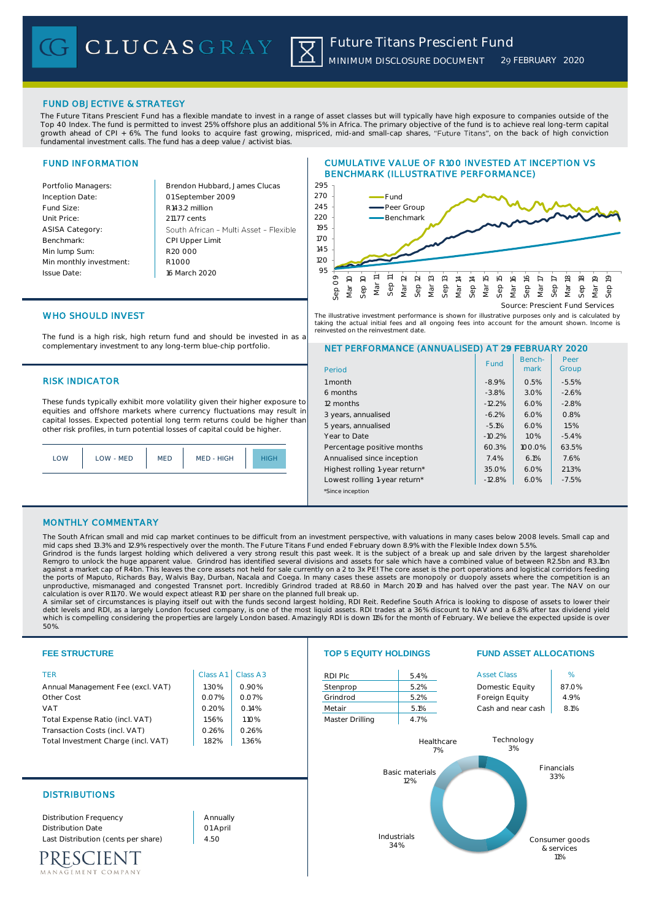## FUND OBJECTIVE & STRATEGY

The Future Titans Prescient Fund has a flexible mandate to invest in a range of asset classes but will typically have high exposure to companies outside of the Top 40 Index. The fund is permitted to invest 25% offshore plus an additional 5% in Africa. The primary objective of the fund is to achieve real long-term capital growth ahead of CPI + 6%. The fund looks to acquire fast growing, mispriced, mid-and small-cap shares, "Future Titans", on the back of high conviction fundamental investment calls. The fund has a deep value / activist bias.

## FUND INFORMATION

| Portfolio Managers:     | Brendon Hubba              |
|-------------------------|----------------------------|
| Inception Date:         | 01 September 2             |
| Fund Size:              | R <sub>143.2</sub> million |
| Unit Price:             | 211.77 cents               |
| <b>ASISA Category:</b>  | South African -            |
| Benchmark:              | <b>CPI Upper Limit</b>     |
| Min lump Sum:           | R20,000                    |
| Min monthly investment: | R1000                      |
| <b>Issue Date:</b>      | 16 March 2020              |
|                         |                            |

Portfolio Managers: Brendon Hubbard, James Clucas 2009 Multi Asset - Flexible

# CUMULATIVE VALUE OF R100 INVESTED AT INCEPTION VS BENCHMARK (ILLUSTRATIVE PERFORMANCE)



The illustrative investment performance is shown for illustrative purposes only and is calculated by taking the actual initial fees and all ongoing fees into account for the amount shown. Income is<br>reinvested on the reinvestment date .<br>sted on the reinvestment date

# WHO SHOULD INVEST

The fund is a high risk, high return fund and should be invested in as a complementary investment to any long-term blue-chip portfolio.

### **RISK INDICATOR**

These funds typically exhibit more volatility given their higher exposure to equities and offshore markets where currency fluctuations may result in capital losses. Expected potential long term returns could be higher than other risk profiles, in turn potential losses of capital could be higher.

| MED - HIGH<br>OM<br>$I$ $OM - MFD$<br>MED |  |
|-------------------------------------------|--|
|-------------------------------------------|--|

# NET PERFORMANCE (ANNUALISED) AT 29 FEBRUARY 2020

| Period                         | Fund     | Bench-<br>mark | Peer<br>Group |
|--------------------------------|----------|----------------|---------------|
| 1 month                        | $-8.9%$  | 0.5%           | $-5.5%$       |
| 6 months                       | $-3.8%$  | 3.0%           | $-2.6%$       |
| 12 months                      | $-12.2%$ | 6.0%           | $-2.8%$       |
| 3 years, annualised            | $-6.2%$  | 6.0%           | 0.8%          |
| 5 years, annualised            | $-5.1%$  | 6.0%           | 1.5%          |
| Year to Date                   | $-10.2%$ | 1.0%           | $-5.4%$       |
| Percentage positive months     | 60.3%    | 100.0%         | 63.5%         |
| Annualised since inception     | 7.4%     | 6.1%           | 7.6%          |
| Highest rolling 1-year return* | 35.0%    | 6.0%           | 21.3%         |
| Lowest rolling 1-year return*  | $-12.8%$ | 6.0%           | $-7.5%$       |
| *Since inception               |          |                |               |

### MONTHLY COMMENTARY

The South African small and mid cap market continues to be difficult from an investment perspective, with valuations in many cases below 2008 levels. Small cap and mid caps shed 13.3% and 12.9% respectively over the month. The Future Titans Fund ended February down 8.9% with the Flexible Index down 5.5%.

Grindrod is the funds largest holding which delivered a very strong result this past week. It is the subject of a break up and sale driven by the largest shareholder<br>Remgro to unlock the huge apparent value. Grindrod has against a market cap of R4bn. This leaves the core assets not held for sale currently on a 2 to 3x PE! The core asset is the port operations and logistical corridors feeding<br>the ports of Maputo, Richards Bay, Walvis Bay, D

calculation is over R11.70. We would expect atleast R10 per share on the planned full break up.<br>A similar set of circumstances is playing itself out with the funds second largest holding, RDI Reit. Redefine South Africa is which is compelling considering the properties are largely London based. Amazingly RDI is down 11% for the month of February. We believe the expected upside is over 50%.

| <b>FEE STRUCTURE</b>                                                                                                           |                              |          | <b>TOP 5 EQUITY HOLDINGS</b> |                        | <b>FUND ASSET ALLOCATIONS</b> |                                     |
|--------------------------------------------------------------------------------------------------------------------------------|------------------------------|----------|------------------------------|------------------------|-------------------------------|-------------------------------------|
| <b>TER</b>                                                                                                                     | Class A1                     | Class A3 | RDI Plc                      | 5.4%                   | <b>Asset Class</b>            | %                                   |
| Annual Management Fee (excl. VAT)                                                                                              | 1.30%                        | 0.90%    | Stenprop                     | 5.2%                   | Domestic Equity               | 87.0%                               |
| Other Cost                                                                                                                     | 0.07%                        | 0.07%    | Grindrod                     | 5.2%                   | Foreign Equity                | 4.9%                                |
| <b>VAT</b>                                                                                                                     | 0.20%                        | 0.14%    | Metair                       | 5.1%                   | Cash and near cash            | 8.1%                                |
| Total Expense Ratio (incl. VAT)                                                                                                | 1.56%                        | 1.10%    | Master Drilling              | 4.7%                   |                               |                                     |
| Transaction Costs (incl. VAT)                                                                                                  | 0.26%                        | 0.26%    |                              |                        |                               |                                     |
| Total Investment Charge (incl. VAT)                                                                                            | 1.82%                        | 1.36%    |                              | Healthcare<br>7%       | Technology<br>3%              |                                     |
| <b>DISTRIBUTIONS</b>                                                                                                           |                              |          |                              | Basic materials<br>12% |                               | Financials<br>33%                   |
| <b>Distribution Frequency</b><br><b>Distribution Date</b><br>Last Distribution (cents per share)<br>IENT<br>MANAGEMENT COMPANY | Annually<br>01 April<br>4.50 |          |                              | Industrials<br>34%     |                               | Consumer goods<br>& services<br>11% |